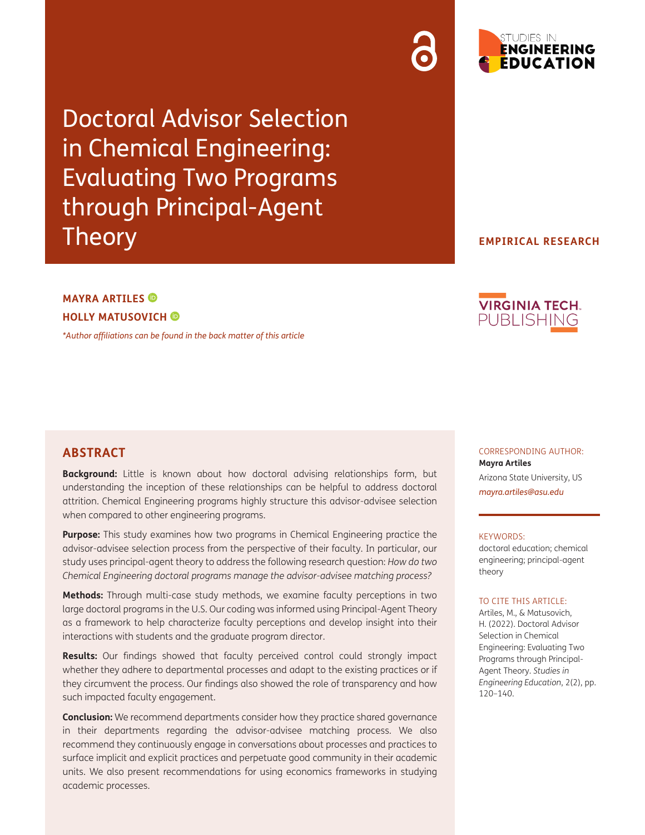Doctoral Advisor Selection in Chemical Engineering: Evaluating Two Programs through Principal-Agent **Theory** 

**EMPIRICAL RESEARCH**

# **MAYRA ARTILES HOLLY MATUSOVICH**

*[\\*Author affiliations can be found in the back matter of this article](#page-17-0)*



# **ABSTRACT**

**Background:** Little is known about how doctoral advising relationships form, but understanding the inception of these relationships can be helpful to address doctoral attrition. Chemical Engineering programs highly structure this advisor-advisee selection when compared to other engineering programs.

**Purpose:** This study examines how two programs in Chemical Engineering practice the advisor-advisee selection process from the perspective of their faculty. In particular, our study uses principal-agent theory to address the following research question: *How do two Chemical Engineering doctoral programs manage the advisor-advisee matching process?*

**Methods:** Through multi-case study methods, we examine faculty perceptions in two large doctoral programs in the U.S. Our coding was informed using Principal-Agent Theory as a framework to help characterize faculty perceptions and develop insight into their interactions with students and the graduate program director.

**Results:** Our findings showed that faculty perceived control could strongly impact whether they adhere to departmental processes and adapt to the existing practices or if they circumvent the process. Our findings also showed the role of transparency and how such impacted faculty engagement.

**Conclusion:** We recommend departments consider how they practice shared governance in their departments regarding the advisor-advisee matching process. We also recommend they continuously engage in conversations about processes and practices to surface implicit and explicit practices and perpetuate good community in their academic units. We also present recommendations for using economics frameworks in studying academic processes.

CORRESPONDING AUTHOR: **Mayra Artiles** Arizona State University, US *mayra.artiles@asu.edu*

#### KEYWORDS:

doctoral education; chemical engineering; principal-agent theory

#### TO CITE THIS ARTICLE:

Artiles, M., & Matusovich, H. (2022). Doctoral Advisor Selection in Chemical Engineering: Evaluating Two Programs through Principal-Agent Theory. *Studies in Engineering Education*, 2(2), pp. 120–140.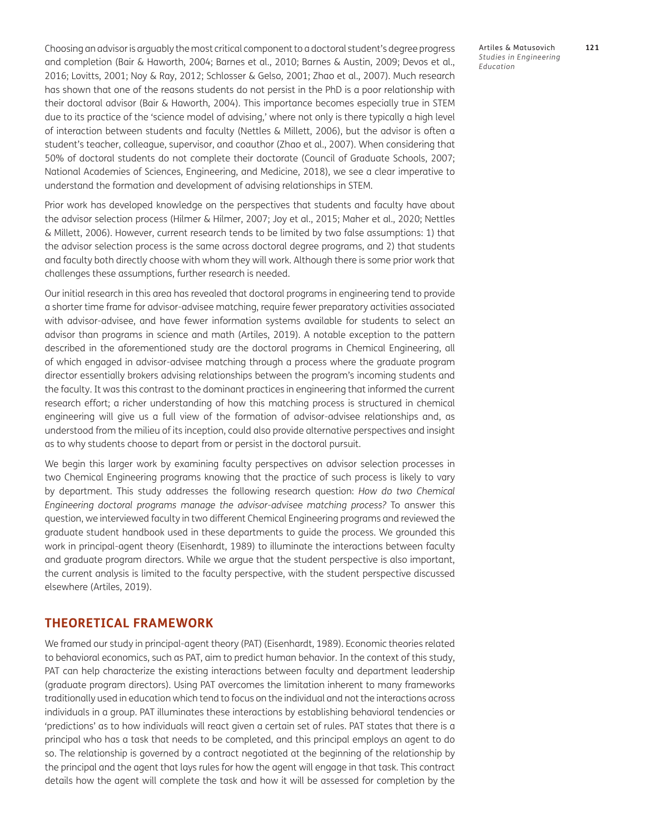Choosing an advisor is arguably the most critical component to a doctoral student's degree progress and completion [\(Bair & Haworth, 2004](#page-17-1); [Barnes et al., 2010;](#page-17-1) [Barnes & Austin, 2009](#page-17-1); [Devos et al.,](#page-18-0) [2016](#page-18-0); [Lovitts, 2001;](#page-19-0) [Noy & Ray, 2012](#page-19-0); [Schlosser & Gelso, 2001](#page-19-0); [Zhao et al., 2007\)](#page-20-0). Much research has shown that one of the reasons students do not persist in the PhD is a poor relationship with their doctoral advisor (Bair & Haworth, 2004). This importance becomes especially true in STEM due to its practice of the 'science model of advising,' where not only is there typically a high level of interaction between students and faculty ([Nettles & Millett, 2006](#page-19-0)), but the advisor is often a student's teacher, colleague, supervisor, and coauthor ([Zhao et al., 2007](#page-20-0)). When considering that 50% of doctoral students do not complete their doctorate [\(Council of Graduate Schools, 2007;](#page-18-0) [National Academies of Sciences, Engineering, and Medicine, 2018\)](#page-19-0), we see a clear imperative to understand the formation and development of advising relationships in STEM.

Prior work has developed knowledge on the perspectives that students and faculty have about the advisor selection process ([Hilmer & Hilmer, 2007](#page-18-0); [Joy et al., 2015;](#page-18-0) [Maher et al., 2020; Nettles](#page-19-0) [& Millett, 2006\)](#page-19-0). However, current research tends to be limited by two false assumptions: 1) that the advisor selection process is the same across doctoral degree programs, and 2) that students and faculty both directly choose with whom they will work. Although there is some prior work that challenges these assumptions, further research is needed.

Our initial research in this area has revealed that doctoral programs in engineering tend to provide a shorter time frame for advisor-advisee matching, require fewer preparatory activities associated with advisor-advisee, and have fewer information systems available for students to select an advisor than programs in science and math [\(Artiles, 2019](#page-17-1)). A notable exception to the pattern described in the aforementioned study are the doctoral programs in Chemical Engineering, all of which engaged in advisor-advisee matching through a process where the graduate program director essentially brokers advising relationships between the program's incoming students and the faculty. It was this contrast to the dominant practices in engineering that informed the current research effort; a richer understanding of how this matching process is structured in chemical engineering will give us a full view of the formation of advisor-advisee relationships and, as understood from the milieu of its inception, could also provide alternative perspectives and insight as to why students choose to depart from or persist in the doctoral pursuit.

We begin this larger work by examining faculty perspectives on advisor selection processes in two Chemical Engineering programs knowing that the practice of such process is likely to vary by department. This study addresses the following research question: *How do two Chemical Engineering doctoral programs manage the advisor-advisee matching process?* To answer this question, we interviewed faculty in two different Chemical Engineering programs and reviewed the graduate student handbook used in these departments to guide the process. We grounded this work in principal-agent theory ([Eisenhardt, 1989](#page-18-0)) to illuminate the interactions between faculty and graduate program directors. While we argue that the student perspective is also important, the current analysis is limited to the faculty perspective, with the student perspective discussed elsewhere ([Artiles, 2019\)](#page-17-1).

### **THEORETICAL FRAMEWORK**

We framed our study in principal-agent theory (PAT) ([Eisenhardt, 1989](#page-18-0)). Economic theories related to behavioral economics, such as PAT, aim to predict human behavior. In the context of this study, PAT can help characterize the existing interactions between faculty and department leadership (graduate program directors). Using PAT overcomes the limitation inherent to many frameworks traditionally used in education which tend to focus on the individual and not the interactions across individuals in a group. PAT illuminates these interactions by establishing behavioral tendencies or 'predictions' as to how individuals will react given a certain set of rules. PAT states that there is a principal who has a task that needs to be completed, and this principal employs an agent to do so. The relationship is governed by a contract negotiated at the beginning of the relationship by the principal and the agent that lays rules for how the agent will engage in that task. This contract details how the agent will complete the task and how it will be assessed for completion by the

Artiles & Matusovich **121** *Studies in Engineering Education*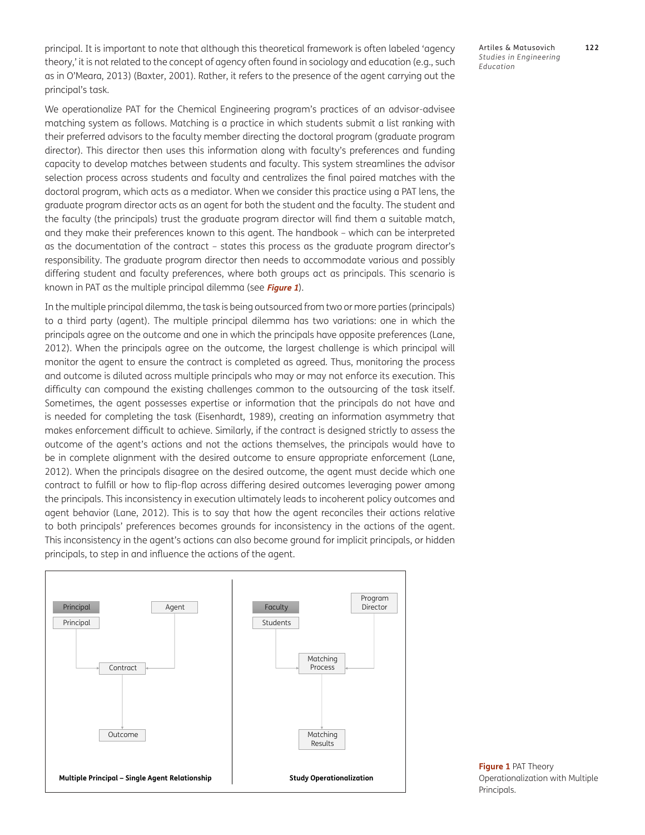principal. It is important to note that although this theoretical framework is often labeled 'agency theory,' it is not related to the concept of agency often found in sociology and education (e.g., such as in [O'Meara, 2013\)](#page-19-0) ([Baxter, 2001\)](#page-17-1). Rather, it refers to the presence of the agent carrying out the principal's task.

We operationalize PAT for the Chemical Engineering program's practices of an advisor-advisee matching system as follows. Matching is a practice in which students submit a list ranking with their preferred advisors to the faculty member directing the doctoral program (graduate program director). This director then uses this information along with faculty's preferences and funding capacity to develop matches between students and faculty. This system streamlines the advisor selection process across students and faculty and centralizes the final paired matches with the doctoral program, which acts as a mediator. When we consider this practice using a PAT lens, the graduate program director acts as an agent for both the student and the faculty. The student and the faculty (the principals) trust the graduate program director will find them a suitable match, and they make their preferences known to this agent. The handbook – which can be interpreted as the documentation of the contract – states this process as the graduate program director's responsibility. The graduate program director then needs to accommodate various and possibly differing student and faculty preferences, where both groups act as principals. This scenario is known in PAT as the multiple principal dilemma (see **Figure 1**).

In the multiple principal dilemma, the task is being outsourced from two or more parties (principals) to a third party (agent). The multiple principal dilemma has two variations: one in which the principals agree on the outcome and one in which the principals have opposite preferences ([Lane,](#page-18-0) [2012](#page-18-0)). When the principals agree on the outcome, the largest challenge is which principal will monitor the agent to ensure the contract is completed as agreed*.* Thus, monitoring the process and outcome is diluted across multiple principals who may or may not enforce its execution. This difficulty can compound the existing challenges common to the outsourcing of the task itself. Sometimes, the agent possesses expertise or information that the principals do not have and is needed for completing the task [\(Eisenhardt, 1989\)](#page-18-0), creating an information asymmetry that makes enforcement difficult to achieve. Similarly, if the contract is designed strictly to assess the outcome of the agent's actions and not the actions themselves, the principals would have to be in complete alignment with the desired outcome to ensure appropriate enforcement ([Lane,](#page-18-0) [2012](#page-18-0)). When the principals disagree on the desired outcome, the agent must decide which one contract to fulfill or how to flip-flop across differing desired outcomes leveraging power among the principals. This inconsistency in execution ultimately leads to incoherent policy outcomes and agent behavior [\(Lane, 2012\)](#page-18-0)*.* This is to say that how the agent reconciles their actions relative to both principals' preferences becomes grounds for inconsistency in the actions of the agent. This inconsistency in the agent's actions can also become ground for implicit principals, or hidden principals, to step in and influence the actions of the agent.



Artiles & Matusovich **122** *Studies in Engineering Education*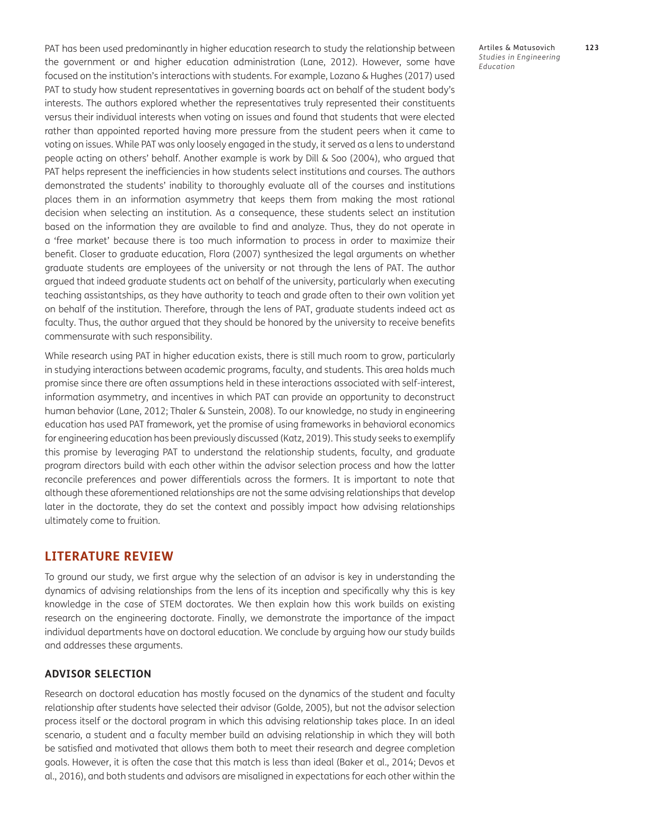PAT has been used predominantly in higher education research to study the relationship between the government or and higher education administration ([Lane, 2012\)](#page-18-0). However, some have focused on the institution's interactions with students. For example, Lozano & Hughes [\(2017\)](#page-19-0) used PAT to study how student representatives in governing boards act on behalf of the student body's interests. The authors explored whether the representatives truly represented their constituents versus their individual interests when voting on issues and found that students that were elected rather than appointed reported having more pressure from the student peers when it came to voting on issues. While PAT was only loosely engaged in the study, it served as a lens to understand people acting on others' behalf. Another example is work by Dill & Soo [\(2004\)](#page-18-0), who argued that PAT helps represent the inefficiencies in how students select institutions and courses. The authors demonstrated the students' inability to thoroughly evaluate all of the courses and institutions places them in an information asymmetry that keeps them from making the most rational decision when selecting an institution. As a consequence, these students select an institution based on the information they are available to find and analyze. Thus, they do not operate in a 'free market' because there is too much information to process in order to maximize their benefit. Closer to graduate education, Flora ([2007\)](#page-18-0) synthesized the legal arguments on whether graduate students are employees of the university or not through the lens of PAT. The author argued that indeed graduate students act on behalf of the university, particularly when executing teaching assistantships, as they have authority to teach and grade often to their own volition yet on behalf of the institution. Therefore, through the lens of PAT, graduate students indeed act as faculty. Thus, the author argued that they should be honored by the university to receive benefits commensurate with such responsibility.

While research using PAT in higher education exists, there is still much room to grow, particularly in studying interactions between academic programs, faculty, and students. This area holds much promise since there are often assumptions held in these interactions associated with self-interest, information asymmetry, and incentives in which PAT can provide an opportunity to deconstruct human behavior [\(Lane, 2012](#page-18-0); [Thaler & Sunstein, 2008\)](#page-19-0). To our knowledge, no study in engineering education has used PAT framework, yet the promise of using frameworks in behavioral economics for engineering education has been previously discussed [\(Katz, 2019](#page-18-0)). This study seeks to exemplify this promise by leveraging PAT to understand the relationship students, faculty, and graduate program directors build with each other within the advisor selection process and how the latter reconcile preferences and power differentials across the formers. It is important to note that although these aforementioned relationships are not the same advising relationships that develop later in the doctorate, they do set the context and possibly impact how advising relationships ultimately come to fruition.

### **LITERATURE REVIEW**

To ground our study, we first argue why the selection of an advisor is key in understanding the dynamics of advising relationships from the lens of its inception and specifically why this is key knowledge in the case of STEM doctorates. We then explain how this work builds on existing research on the engineering doctorate. Finally, we demonstrate the importance of the impact individual departments have on doctoral education. We conclude by arguing how our study builds and addresses these arguments.

#### **ADVISOR SELECTION**

Research on doctoral education has mostly focused on the dynamics of the student and faculty relationship after students have selected their advisor ([Golde, 2005\)](#page-18-0), but not the advisor selection process itself or the doctoral program in which this advising relationship takes place. In an ideal scenario, a student and a faculty member build an advising relationship in which they will both be satisfied and motivated that allows them both to meet their research and degree completion goals. However, it is often the case that this match is less than ideal [\(Baker et al., 2014;](#page-17-1) [Devos et](#page-18-0) [al., 2016\)](#page-18-0), and both students and advisors are misaligned in expectations for each other within the

Artiles & Matusovich **123** *Studies in Engineering Education*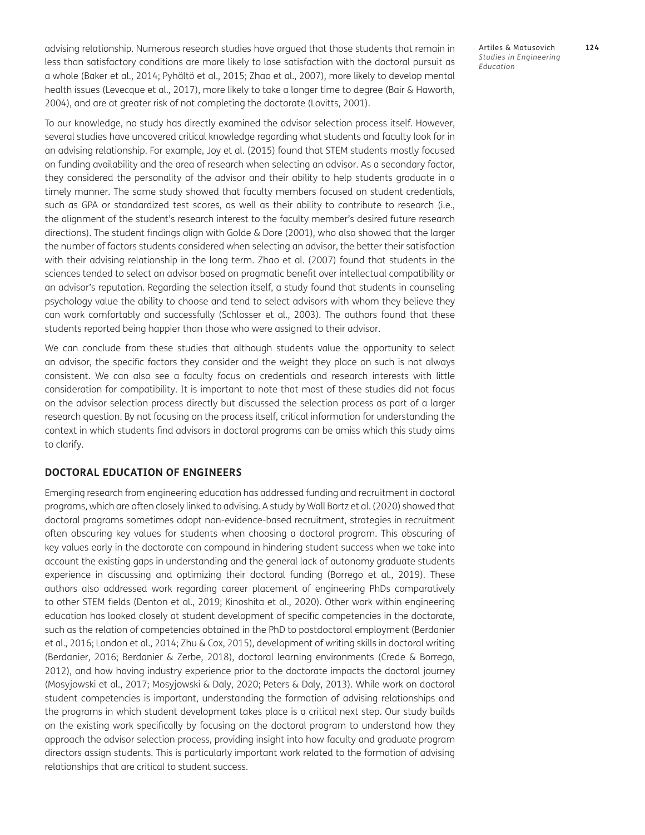advising relationship. Numerous research studies have argued that those students that remain in less than satisfactory conditions are more likely to lose satisfaction with the doctoral pursuit as a whole ([Baker et al., 2014;](#page-17-1) [Pyhältö et al., 2015](#page-19-0); [Zhao et al., 2007\)](#page-20-0), more likely to develop mental health issues [\(Levecque et al., 2017](#page-18-0)), more likely to take a longer time to degree ([Bair & Haworth,](#page-17-1) [2004](#page-17-1)), and are at greater risk of not completing the doctorate [\(Lovitts, 2001](#page-19-0)).

To our knowledge, no study has directly examined the advisor selection process itself. However, several studies have uncovered critical knowledge regarding what students and faculty look for in an advising relationship. For example, Joy et al. ([2015](#page-18-0)) found that STEM students mostly focused on funding availability and the area of research when selecting an advisor. As a secondary factor, they considered the personality of the advisor and their ability to help students graduate in a timely manner. The same study showed that faculty members focused on student credentials, such as GPA or standardized test scores, as well as their ability to contribute to research (i.e., the alignment of the student's research interest to the faculty member's desired future research directions). The student findings align with Golde & Dore ([2001](#page-18-0)), who also showed that the larger the number of factors students considered when selecting an advisor, the better their satisfaction with their advising relationship in the long term. Zhao et al. ([2007](#page-20-0)) found that students in the sciences tended to select an advisor based on pragmatic benefit over intellectual compatibility or an advisor's reputation. Regarding the selection itself, a study found that students in counseling psychology value the ability to choose and tend to select advisors with whom they believe they can work comfortably and successfully ([Schlosser et al., 2003\)](#page-19-0). The authors found that these students reported being happier than those who were assigned to their advisor.

We can conclude from these studies that although students value the opportunity to select an advisor, the specific factors they consider and the weight they place on such is not always consistent. We can also see a faculty focus on credentials and research interests with little consideration for compatibility. It is important to note that most of these studies did not focus on the advisor selection process directly but discussed the selection process as part of a larger research question. By not focusing on the process itself, critical information for understanding the context in which students find advisors in doctoral programs can be amiss which this study aims to clarify.

#### **DOCTORAL EDUCATION OF ENGINEERS**

Emerging research from engineering education has addressed funding and recruitment in doctoral programs, which are often closely linked to advising. A study by Wall Bortz et al. ([2020\)](#page-20-0) showed that doctoral programs sometimes adopt non-evidence-based recruitment, strategies in recruitment often obscuring key values for students when choosing a doctoral program. This obscuring of key values early in the doctorate can compound in hindering student success when we take into account the existing gaps in understanding and the general lack of autonomy graduate students experience in discussing and optimizing their doctoral funding ([Borrego et al., 2019\)](#page-18-0). These authors also addressed work regarding career placement of engineering PhDs comparatively to other STEM fields ([Denton et al., 2019;](#page-18-0) [Kinoshita et al., 2020](#page-18-0)). Other work within engineering education has looked closely at student development of specific competencies in the doctorate, such as the relation of competencies obtained in the PhD to postdoctoral employment ([Berdanier](#page-17-1) [et al., 2016;](#page-17-1) [London et al., 2014;](#page-18-0) [Zhu & Cox, 2015\)](#page-20-0), development of writing skills in doctoral writing [\(Berdanier, 2016](#page-17-1); [Berdanier & Zerbe, 2018](#page-17-1)), doctoral learning environments ([Crede & Borrego,](#page-18-0) [2012](#page-18-0)), and how having industry experience prior to the doctorate impacts the doctoral journey [\(Mosyjowski et al., 2017;](#page-19-0) [Mosyjowski & Daly, 2020](#page-19-0); [Peters & Daly, 2013\)](#page-19-0). While work on doctoral student competencies is important, understanding the formation of advising relationships and the programs in which student development takes place is a critical next step. Our study builds on the existing work specifically by focusing on the doctoral program to understand how they approach the advisor selection process, providing insight into how faculty and graduate program directors assign students. This is particularly important work related to the formation of advising relationships that are critical to student success.

Artiles & Matusovich **124** *Studies in Engineering Education*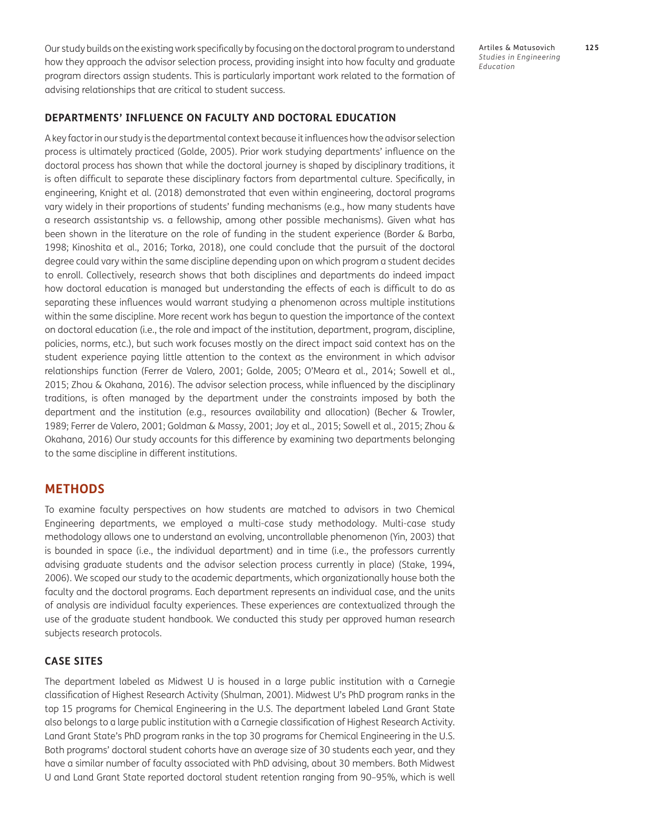Our study builds on the existing work specifically by focusing on the doctoral program to understand how they approach the advisor selection process, providing insight into how faculty and graduate program directors assign students. This is particularly important work related to the formation of advising relationships that are critical to student success.

Artiles & Matusovich **125** *Studies in Engineering Education*

#### **DEPARTMENTS' INFLUENCE ON FACULTY AND DOCTORAL EDUCATION**

A key factor in our study is the departmental context because it influences how the advisor selection process is ultimately practiced [\(Golde, 2005](#page-18-0)). Prior work studying departments' influence on the doctoral process has shown that while the doctoral journey is shaped by disciplinary traditions, it is often difficult to separate these disciplinary factors from departmental culture. Specifically, in engineering, Knight et al. ([2018](#page-18-0)) demonstrated that even within engineering, doctoral programs vary widely in their proportions of students' funding mechanisms (e.g., how many students have a research assistantship vs. a fellowship, among other possible mechanisms). Given what has been shown in the literature on the role of funding in the student experience [\(Border & Barba,](#page-18-0) [1998](#page-18-0); [Kinoshita et al., 2016](#page-18-0); [Torka, 2018\)](#page-20-0), one could conclude that the pursuit of the doctoral degree could vary within the same discipline depending upon on which program a student decides to enroll. Collectively, research shows that both disciplines and departments do indeed impact how doctoral education is managed but understanding the effects of each is difficult to do as separating these influences would warrant studying a phenomenon across multiple institutions within the same discipline. More recent work has begun to question the importance of the context on doctoral education (i.e., the role and impact of the institution, department, program, discipline, policies, norms, etc.), but such work focuses mostly on the direct impact said context has on the student experience paying little attention to the context as the environment in which advisor relationships function [\(Ferrer de Valero, 2001](#page-18-0); [Golde, 2005;](#page-18-0) [O'Meara et al., 2014;](#page-19-0) [Sowell et al.,](#page-19-0) [2015](#page-19-0); [Zhou & Okahana, 2016\)](#page-20-0). The advisor selection process, while influenced by the disciplinary traditions, is often managed by the department under the constraints imposed by both the department and the institution (e.g., resources availability and allocation) [\(Becher & Trowler,](#page-17-1) [1989](#page-17-1); [Ferrer de Valero, 2001; Goldman & Massy, 2001; Joy et al., 2015](#page-18-0); [Sowell et al., 2015;](#page-19-0) [Zhou &](#page-20-0) [Okahana, 2016\)](#page-20-0) Our study accounts for this difference by examining two departments belonging to the same discipline in different institutions.

### **METHODS**

To examine faculty perspectives on how students are matched to advisors in two Chemical Engineering departments, we employed a multi-case study methodology. Multi-case study methodology allows one to understand an evolving, uncontrollable phenomenon [\(Yin, 2003\)](#page-20-0) that is bounded in space (i.e., the individual department) and in time (i.e., the professors currently advising graduate students and the advisor selection process currently in place) [\(Stake, 1994,](#page-19-0) [2006](#page-20-0)). We scoped our study to the academic departments, which organizationally house both the faculty and the doctoral programs. Each department represents an individual case, and the units of analysis are individual faculty experiences. These experiences are contextualized through the use of the graduate student handbook. We conducted this study per approved human research subjects research protocols.

### **CASE SITES**

The department labeled as Midwest U is housed in a large public institution with a Carnegie classification of Highest Research Activity ([Shulman, 2001](#page-19-0)). Midwest U's PhD program ranks in the top 15 programs for Chemical Engineering in the U.S. The department labeled Land Grant State also belongs to a large public institution with a Carnegie classification of Highest Research Activity. Land Grant State's PhD program ranks in the top 30 programs for Chemical Engineering in the U.S. Both programs' doctoral student cohorts have an average size of 30 students each year, and they have a similar number of faculty associated with PhD advising, about 30 members. Both Midwest U and Land Grant State reported doctoral student retention ranging from 90–95%, which is well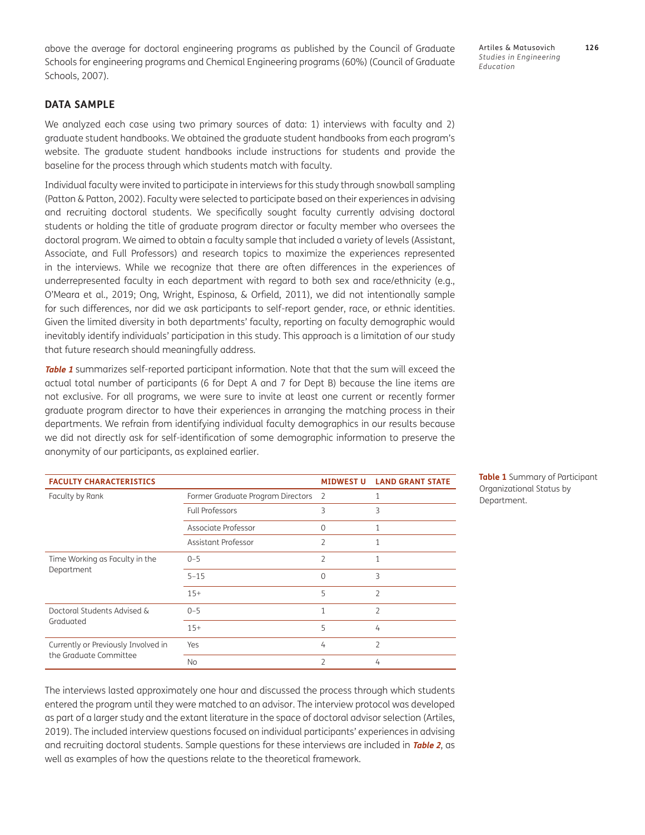above the average for doctoral engineering programs as published by the Council of Graduate Schools for engineering programs and Chemical Engineering programs (60%) ([Council of Graduate](#page-18-0) [Schools, 2007](#page-18-0)).

Artiles & Matusovich **126** *Studies in Engineering Education*

### **DATA SAMPLE**

We analyzed each case using two primary sources of data: 1) interviews with faculty and 2) graduate student handbooks. We obtained the graduate student handbooks from each program's website. The graduate student handbooks include instructions for students and provide the baseline for the process through which students match with faculty.

Individual faculty were invited to participate in interviews for this study through snowball sampling [\(Patton & Patton, 2002\)](#page-19-0). Faculty were selected to participate based on their experiences in advising and recruiting doctoral students. We specifically sought faculty currently advising doctoral students or holding the title of graduate program director or faculty member who oversees the doctoral program. We aimed to obtain a faculty sample that included a variety of levels (Assistant, Associate, and Full Professors) and research topics to maximize the experiences represented in the interviews. While we recognize that there are often differences in the experiences of underrepresented faculty in each department with regard to both sex and race/ethnicity (e.g., [O'Meara et al., 2019;](#page-19-0) [Ong, Wright, Espinosa, & Orfield, 2011\)](#page-19-0), we did not intentionally sample for such differences, nor did we ask participants to self-report gender, race, or ethnic identities. Given the limited diversity in both departments' faculty, reporting on faculty demographic would inevitably identify individuals' participation in this study. This approach is a limitation of our study that future research should meaningfully address.

**Table 1** summarizes self-reported participant information. Note that that the sum will exceed the actual total number of participants (6 for Dept A and 7 for Dept B) because the line items are not exclusive. For all programs, we were sure to invite at least one current or recently former graduate program director to have their experiences in arranging the matching process in their departments. We refrain from identifying individual faculty demographics in our results because we did not directly ask for self-identification of some demographic information to preserve the anonymity of our participants, as explained earlier.

| <b>FACULTY CHARACTERISTICS</b>                                |                                     | <b>MIDWEST U</b> | <b>LAND GRANT STATE</b>  |
|---------------------------------------------------------------|-------------------------------------|------------------|--------------------------|
| Faculty by Rank                                               | Former Graduate Program Directors 2 |                  |                          |
|                                                               | <b>Full Professors</b>              | 3                | 3                        |
|                                                               | Associate Professor                 | $\Omega$         | $\mathbf{1}$             |
|                                                               | Assistant Professor                 | $\overline{2}$   |                          |
| Time Working as Faculty in the<br>Department                  | $0 - 5$                             | $\overline{2}$   | 1                        |
|                                                               | $5 - 15$                            | $\Omega$         | 3                        |
|                                                               | $15+$                               | 5                | $\overline{2}$           |
| Doctoral Students Advised &<br>Graduated                      | $0 - 5$                             | 1                | $\overline{\mathcal{L}}$ |
|                                                               | $15+$                               | 5                | 4                        |
| Currently or Previously Involved in<br>the Graduate Committee | Yes                                 | 4                | $\overline{\mathcal{L}}$ |
|                                                               | No                                  | $\mathcal{P}$    | 4                        |

**Table 1** Summary of Participant Organizational Status by Department.

The interviews lasted approximately one hour and discussed the process through which students entered the program until they were matched to an advisor. The interview protocol was developed as part of a larger study and the extant literature in the space of doctoral advisor selection ([Artiles,](#page-17-1) [2019](#page-17-1)). The included interview questions focused on individual participants' experiences in advising and recruiting doctoral students. Sample questions for these interviews are included in **Table 2**, as well as examples of how the questions relate to the theoretical framework.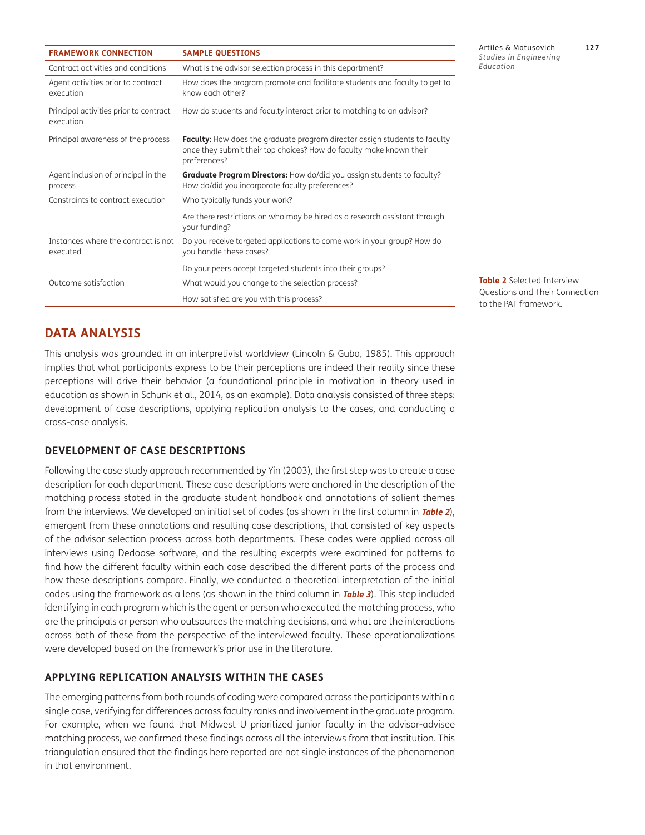| <b>FRAMEWORK CONNECTION</b>                         | <b>SAMPLE QUESTIONS</b>                                                                                                                                                  |
|-----------------------------------------------------|--------------------------------------------------------------------------------------------------------------------------------------------------------------------------|
| Contract activities and conditions                  | What is the advisor selection process in this department?                                                                                                                |
| Agent activities prior to contract<br>execution     | How does the program promote and facilitate students and faculty to get to<br>know each other?                                                                           |
| Principal activities prior to contract<br>execution | How do students and faculty interact prior to matching to an advisor?                                                                                                    |
| Principal awareness of the process                  | <b>Faculty:</b> How does the graduate program director assign students to faculty<br>once they submit their top choices? How do faculty make known their<br>preferences? |
| Agent inclusion of principal in the<br>process      | <b>Graduate Program Directors:</b> How do/did you assign students to faculty?<br>How do/did you incorporate faculty preferences?                                         |
| Constraints to contract execution                   | Who typically funds your work?                                                                                                                                           |
|                                                     | Are there restrictions on who may be hired as a research assistant through<br>your funding?                                                                              |
| Instances where the contract is not<br>executed     | Do you receive targeted applications to come work in your group? How do<br>you handle these cases?                                                                       |
|                                                     | Do your peers accept targeted students into their groups?                                                                                                                |
| Outcome satisfaction                                | What would you change to the selection process?                                                                                                                          |
|                                                     | How satisfied are you with this process?                                                                                                                                 |

**Table 2** Selected Interview Questions and Their Connection

to the PAT framework.

# **DATA ANALYSIS**

This analysis was grounded in an interpretivist worldview [\(Lincoln & Guba, 1985](#page-18-0)). This approach implies that what participants express to be their perceptions are indeed their reality since these perceptions will drive their behavior (a foundational principle in motivation in theory used in education as shown in [Schunk et al., 2014,](#page-19-0) as an example). Data analysis consisted of three steps: development of case descriptions, applying replication analysis to the cases, and conducting a cross-case analysis.

#### **DEVELOPMENT OF CASE DESCRIPTIONS**

Following the case study approach recommended by Yin [\(2003](#page-20-0)), the first step was to create a case description for each department. These case descriptions were anchored in the description of the matching process stated in the graduate student handbook and annotations of salient themes from the interviews. We developed an initial set of codes (as shown in the first column in **Table 2**), emergent from these annotations and resulting case descriptions, that consisted of key aspects of the advisor selection process across both departments. These codes were applied across all interviews using Dedoose software, and the resulting excerpts were examined for patterns to find how the different faculty within each case described the different parts of the process and how these descriptions compare. Finally, we conducted a theoretical interpretation of the initial codes using the framework as a lens (as shown in the third column in **Table 3**). This step included identifying in each program which is the agent or person who executed the matching process, who are the principals or person who outsources the matching decisions, and what are the interactions across both of these from the perspective of the interviewed faculty. These operationalizations were developed based on the framework's prior use in the literature.

### **APPLYING REPLICATION ANALYSIS WITHIN THE CASES**

The emerging patterns from both rounds of coding were compared across the participants within a single case, verifying for differences across faculty ranks and involvement in the graduate program. For example, when we found that Midwest U prioritized junior faculty in the advisor-advisee matching process, we confirmed these findings across all the interviews from that institution. This triangulation ensured that the findings here reported are not single instances of the phenomenon in that environment.

Artiles & Matusovich **127** *Studies in Engineering Education*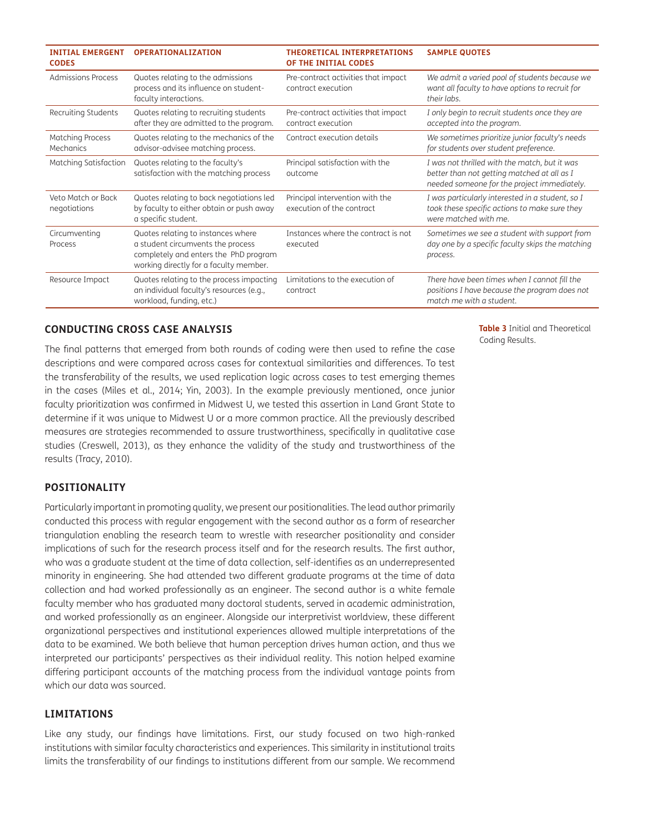| <b>INITIAL EMERGENT</b><br><b>CODES</b>     | <b>OPERATIONALIZATION</b>                                                                                                                                  | <b>THEORETICAL INTERPRETATIONS</b><br>OF THE INITIAL CODES   | <b>SAMPLE QUOTES</b>                                                                                                                        |
|---------------------------------------------|------------------------------------------------------------------------------------------------------------------------------------------------------------|--------------------------------------------------------------|---------------------------------------------------------------------------------------------------------------------------------------------|
| Admissions Process                          | Quotes relating to the admissions<br>process and its influence on student-<br>faculty interactions.                                                        | Pre-contract activities that impact<br>contract execution    | We admit a varied pool of students because we<br>want all faculty to have options to recruit for<br>their labs.                             |
| Recruiting Students                         | Quotes relating to recruiting students<br>after they are admitted to the program.                                                                          | Pre-contract activities that impact<br>contract execution    | I only begin to recruit students once they are<br>accepted into the program.                                                                |
| <b>Matching Process</b><br><b>Mechanics</b> | Quotes relating to the mechanics of the<br>advisor-advisee matching process.                                                                               | Contract execution details                                   | We sometimes prioritize junior faculty's needs<br>for students over student preference.                                                     |
| Matching Satisfaction                       | Quotes relating to the faculty's<br>satisfaction with the matching process                                                                                 | Principal satisfaction with the<br>outcome                   | I was not thrilled with the match, but it was<br>better than not getting matched at all as I<br>needed someone for the project immediately. |
| Veto Match or Back<br>negotiations          | Quotes relating to back negotiations led<br>by faculty to either obtain or push away<br>a specific student.                                                | Principal intervention with the<br>execution of the contract | I was particularly interested in a student, so I<br>took these specific actions to make sure they<br>were matched with me.                  |
| Circumventing<br>Process                    | Quotes relating to instances where<br>a student circumvents the process<br>completely and enters the PhD program<br>working directly for a faculty member. | Instances where the contract is not<br>executed              | Sometimes we see a student with support from<br>day one by a specific faculty skips the matching<br>process.                                |
| Resource Impact                             | Quotes relating to the process impacting<br>an individual faculty's resources (e.g.,<br>workload, funding, etc.)                                           | Limitations to the execution of<br>contract                  | There have been times when I cannot fill the<br>positions I have because the program does not<br>match me with a student.                   |

### **CONDUCTING CROSS CASE ANALYSIS**

The final patterns that emerged from both rounds of coding were then used to refine the case descriptions and were compared across cases for contextual similarities and differences. To test the transferability of the results, we used replication logic across cases to test emerging themes in the cases ([Miles et al., 2014](#page-19-0); [Yin, 2003](#page-20-0)). In the example previously mentioned, once junior faculty prioritization was confirmed in Midwest U, we tested this assertion in Land Grant State to determine if it was unique to Midwest U or a more common practice. All the previously described measures are strategies recommended to assure trustworthiness, specifically in qualitative case studies ([Creswell, 2013](#page-18-0)), as they enhance the validity of the study and trustworthiness of the results [\(Tracy, 2010](#page-20-0)).

### **POSITIONALITY**

Particularly important in promoting quality, we present our positionalities. The lead author primarily conducted this process with regular engagement with the second author as a form of researcher triangulation enabling the research team to wrestle with researcher positionality and consider implications of such for the research process itself and for the research results. The first author, who was a graduate student at the time of data collection, self-identifies as an underrepresented minority in engineering. She had attended two different graduate programs at the time of data collection and had worked professionally as an engineer. The second author is a white female faculty member who has graduated many doctoral students, served in academic administration, and worked professionally as an engineer. Alongside our interpretivist worldview, these different organizational perspectives and institutional experiences allowed multiple interpretations of the data to be examined. We both believe that human perception drives human action, and thus we interpreted our participants' perspectives as their individual reality. This notion helped examine differing participant accounts of the matching process from the individual vantage points from which our data was sourced.

### **LIMITATIONS**

Like any study, our findings have limitations. First, our study focused on two high-ranked institutions with similar faculty characteristics and experiences. This similarity in institutional traits limits the transferability of our findings to institutions different from our sample. We recommend

**Table 3** Initial and Theoretical Coding Results.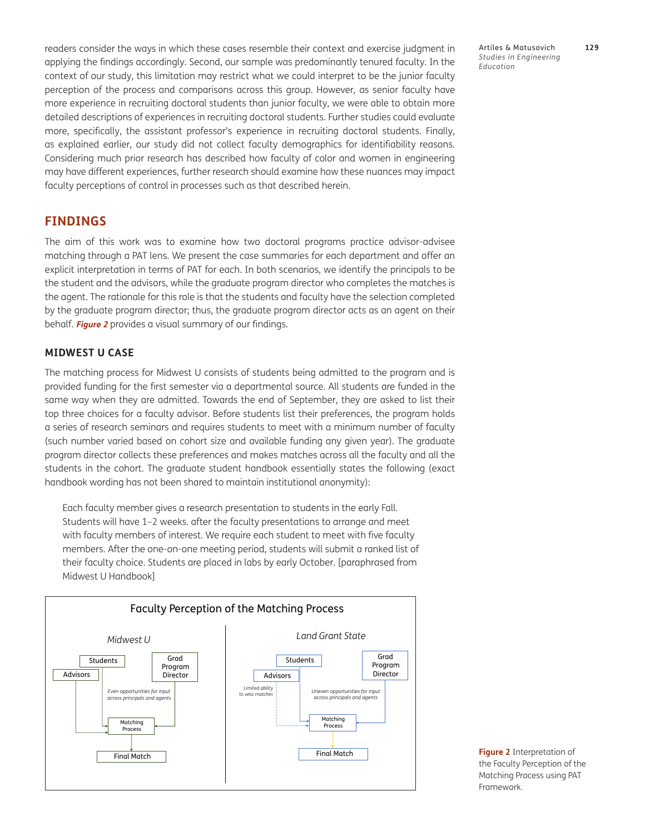readers consider the ways in which these cases resemble their context and exercise judgment in applying the findings accordingly. Second, our sample was predominantly tenured faculty. In the context of our study, this limitation may restrict what we could interpret to be the junior faculty perception of the process and comparisons across this group. However, as senior faculty have more experience in recruiting doctoral students than junior faculty, we were able to obtain more detailed descriptions of experiences in recruiting doctoral students. Further studies could evaluate more, specifically, the assistant professor's experience in recruiting doctoral students. Finally, as explained earlier, our study did not collect faculty demographics for identifiability reasons. Considering much prior research has described how faculty of color and women in engineering may have different experiences, further research should examine how these nuances may impact faculty perceptions of control in processes such as that described herein.

### **FINDINGS**

The aim of this work was to examine how two doctoral programs practice advisor-advisee matching through a PAT lens. We present the case summaries for each department and offer an explicit interpretation in terms of PAT for each. In both scenarios, we identify the principals to be the student and the advisors, while the graduate program director who completes the matches is the agent. The rationale for this role is that the students and faculty have the selection completed by the graduate program director; thus, the graduate program director acts as an agent on their behalf. **Figure 2** provides a visual summary of our findings.

#### **MIDWEST U CASE**

The matching process for Midwest U consists of students being admitted to the program and is provided funding for the first semester via a departmental source. All students are funded in the same way when they are admitted. Towards the end of September, they are asked to list their top three choices for a faculty advisor. Before students list their preferences, the program holds a series of research seminars and requires students to meet with a minimum number of faculty (such number varied based on cohort size and available funding any given year). The graduate program director collects these preferences and makes matches across all the faculty and all the students in the cohort. The graduate student handbook essentially states the following (exact handbook wording has not been shared to maintain institutional anonymity):

Each faculty member gives a research presentation to students in the early Fall. Students will have 1–2 weeks. after the faculty presentations to arrange and meet with faculty members of interest. We require each student to meet with five faculty members. After the one-on-one meeting period, students will submit a ranked list of their faculty choice. Students are placed in labs by early October. [paraphrased from Midwest U Handbook]



Framework.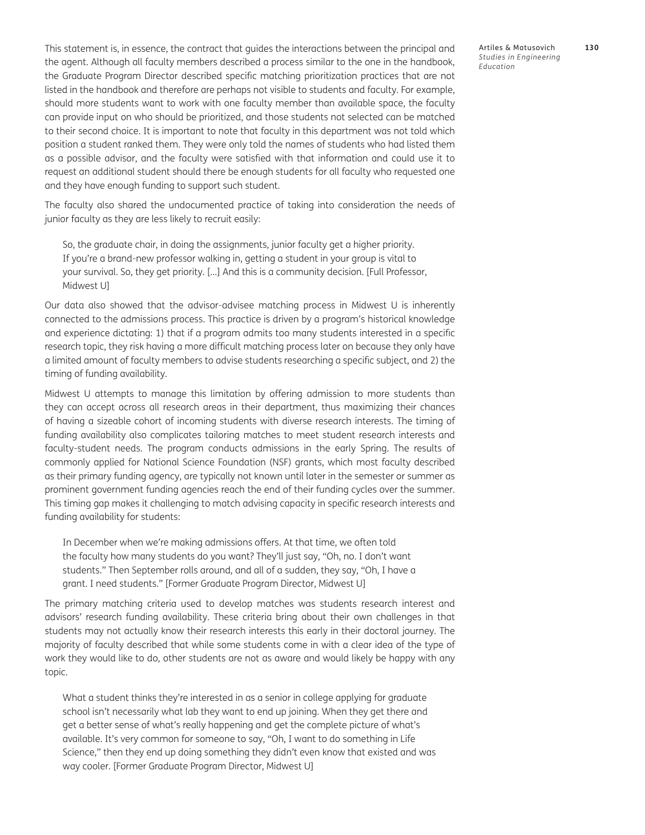This statement is, in essence, the contract that guides the interactions between the principal and the agent. Although all faculty members described a process similar to the one in the handbook, the Graduate Program Director described specific matching prioritization practices that are not listed in the handbook and therefore are perhaps not visible to students and faculty. For example, should more students want to work with one faculty member than available space, the faculty can provide input on who should be prioritized, and those students not selected can be matched to their second choice. It is important to note that faculty in this department was not told which position a student ranked them. They were only told the names of students who had listed them as a possible advisor, and the faculty were satisfied with that information and could use it to request an additional student should there be enough students for all faculty who requested one and they have enough funding to support such student.

The faculty also shared the undocumented practice of taking into consideration the needs of junior faculty as they are less likely to recruit easily:

So, the graduate chair, in doing the assignments, junior faculty get a higher priority. If you're a brand-new professor walking in, getting a student in your group is vital to your survival. So, they get priority. […] And this is a community decision. [Full Professor, Midwest U]

Our data also showed that the advisor-advisee matching process in Midwest U is inherently connected to the admissions process. This practice is driven by a program's historical knowledge and experience dictating: 1) that if a program admits too many students interested in a specific research topic, they risk having a more difficult matching process later on because they only have a limited amount of faculty members to advise students researching a specific subject, and 2) the timing of funding availability.

Midwest U attempts to manage this limitation by offering admission to more students than they can accept across all research areas in their department, thus maximizing their chances of having a sizeable cohort of incoming students with diverse research interests. The timing of funding availability also complicates tailoring matches to meet student research interests and faculty-student needs. The program conducts admissions in the early Spring. The results of commonly applied for National Science Foundation (NSF) grants, which most faculty described as their primary funding agency, are typically not known until later in the semester or summer as prominent government funding agencies reach the end of their funding cycles over the summer. This timing gap makes it challenging to match advising capacity in specific research interests and funding availability for students:

In December when we're making admissions offers. At that time, we often told the faculty how many students do you want? They'll just say, "Oh, no. I don't want students." Then September rolls around, and all of a sudden, they say, "Oh, I have a grant. I need students." [Former Graduate Program Director, Midwest U]

The primary matching criteria used to develop matches was students research interest and advisors' research funding availability. These criteria bring about their own challenges in that students may not actually know their research interests this early in their doctoral journey. The majority of faculty described that while some students come in with a clear idea of the type of work they would like to do, other students are not as aware and would likely be happy with any topic.

What a student thinks they're interested in as a senior in college applying for graduate school isn't necessarily what lab they want to end up joining. When they get there and get a better sense of what's really happening and get the complete picture of what's available. It's very common for someone to say, "Oh, I want to do something in Life Science," then they end up doing something they didn't even know that existed and was way cooler. [Former Graduate Program Director, Midwest U]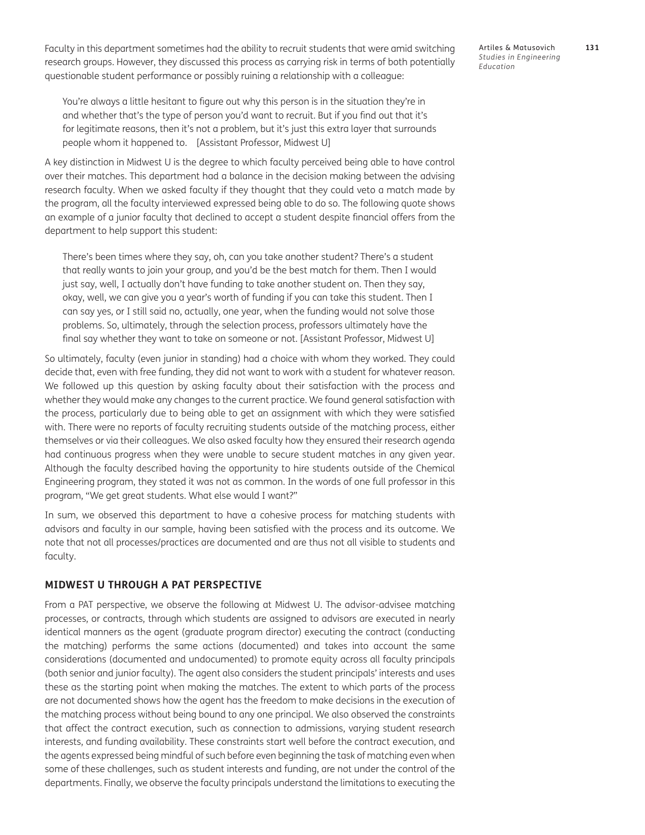Faculty in this department sometimes had the ability to recruit students that were amid switching research groups. However, they discussed this process as carrying risk in terms of both potentially questionable student performance or possibly ruining a relationship with a colleague:

You're always a little hesitant to figure out why this person is in the situation they're in and whether that's the type of person you'd want to recruit. But if you find out that it's for legitimate reasons, then it's not a problem, but it's just this extra layer that surrounds people whom it happened to. [Assistant Professor, Midwest U]

A key distinction in Midwest U is the degree to which faculty perceived being able to have control over their matches. This department had a balance in the decision making between the advising research faculty. When we asked faculty if they thought that they could veto a match made by the program, all the faculty interviewed expressed being able to do so. The following quote shows an example of a junior faculty that declined to accept a student despite financial offers from the department to help support this student:

There's been times where they say, oh, can you take another student? There's a student that really wants to join your group, and you'd be the best match for them. Then I would just say, well, I actually don't have funding to take another student on. Then they say, okay, well, we can give you a year's worth of funding if you can take this student. Then I can say yes, or I still said no, actually, one year, when the funding would not solve those problems. So, ultimately, through the selection process, professors ultimately have the final say whether they want to take on someone or not. [Assistant Professor, Midwest U]

So ultimately, faculty (even junior in standing) had a choice with whom they worked. They could decide that, even with free funding, they did not want to work with a student for whatever reason. We followed up this question by asking faculty about their satisfaction with the process and whether they would make any changes to the current practice. We found general satisfaction with the process, particularly due to being able to get an assignment with which they were satisfied with. There were no reports of faculty recruiting students outside of the matching process, either themselves or via their colleagues. We also asked faculty how they ensured their research agenda had continuous progress when they were unable to secure student matches in any given year. Although the faculty described having the opportunity to hire students outside of the Chemical Engineering program, they stated it was not as common. In the words of one full professor in this program, "We get great students. What else would I want?"

In sum, we observed this department to have a cohesive process for matching students with advisors and faculty in our sample, having been satisfied with the process and its outcome. We note that not all processes/practices are documented and are thus not all visible to students and faculty.

#### **MIDWEST U THROUGH A PAT PERSPECTIVE**

From a PAT perspective, we observe the following at Midwest U. The advisor-advisee matching processes, or contracts, through which students are assigned to advisors are executed in nearly identical manners as the agent (graduate program director) executing the contract (conducting the matching) performs the same actions (documented) and takes into account the same considerations (documented and undocumented) to promote equity across all faculty principals (both senior and junior faculty). The agent also considers the student principals' interests and uses these as the starting point when making the matches. The extent to which parts of the process are not documented shows how the agent has the freedom to make decisions in the execution of the matching process without being bound to any one principal. We also observed the constraints that affect the contract execution, such as connection to admissions, varying student research interests, and funding availability. These constraints start well before the contract execution, and the agents expressed being mindful of such before even beginning the task of matching even when some of these challenges, such as student interests and funding, are not under the control of the departments. Finally, we observe the faculty principals understand the limitations to executing the

Artiles & Matusovich **131** *Studies in Engineering Education*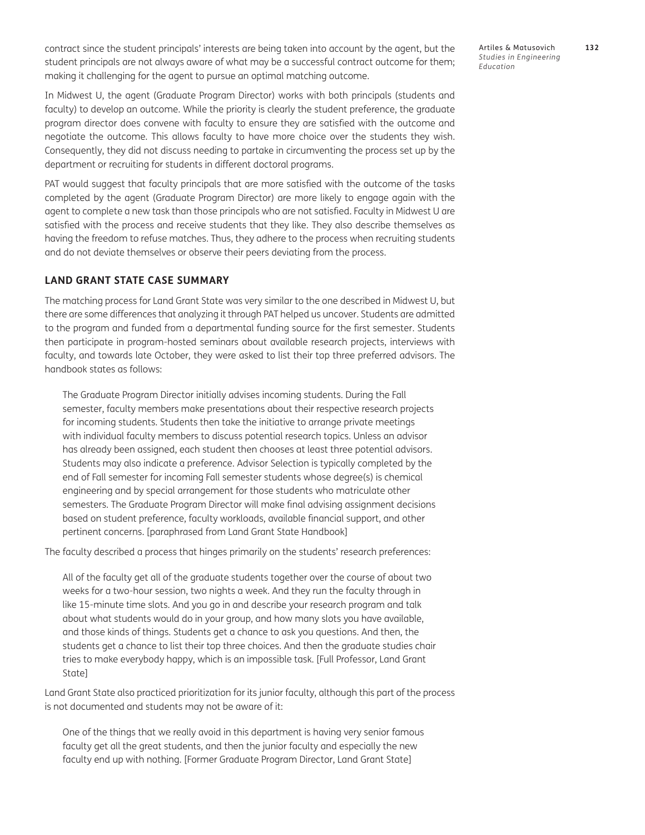contract since the student principals' interests are being taken into account by the agent, but the student principals are not always aware of what may be a successful contract outcome for them; making it challenging for the agent to pursue an optimal matching outcome.

Artiles & Matusovich **132** *Studies in Engineering Education*

In Midwest U, the agent (Graduate Program Director) works with both principals (students and faculty) to develop an outcome. While the priority is clearly the student preference, the graduate program director does convene with faculty to ensure they are satisfied with the outcome and negotiate the outcome. This allows faculty to have more choice over the students they wish. Consequently, they did not discuss needing to partake in circumventing the process set up by the department or recruiting for students in different doctoral programs.

PAT would suggest that faculty principals that are more satisfied with the outcome of the tasks completed by the agent (Graduate Program Director) are more likely to engage again with the agent to complete a new task than those principals who are not satisfied. Faculty in Midwest U are satisfied with the process and receive students that they like. They also describe themselves as having the freedom to refuse matches. Thus, they adhere to the process when recruiting students and do not deviate themselves or observe their peers deviating from the process.

#### **LAND GRANT STATE CASE SUMMARY**

The matching process for Land Grant State was very similar to the one described in Midwest U, but there are some differences that analyzing it through PAT helped us uncover. Students are admitted to the program and funded from a departmental funding source for the first semester. Students then participate in program-hosted seminars about available research projects, interviews with faculty, and towards late October, they were asked to list their top three preferred advisors. The handbook states as follows:

The Graduate Program Director initially advises incoming students. During the Fall semester, faculty members make presentations about their respective research projects for incoming students. Students then take the initiative to arrange private meetings with individual faculty members to discuss potential research topics. Unless an advisor has already been assigned, each student then chooses at least three potential advisors. Students may also indicate a preference. Advisor Selection is typically completed by the end of Fall semester for incoming Fall semester students whose degree(s) is chemical engineering and by special arrangement for those students who matriculate other semesters. The Graduate Program Director will make final advising assignment decisions based on student preference, faculty workloads, available financial support, and other pertinent concerns. [paraphrased from Land Grant State Handbook]

The faculty described a process that hinges primarily on the students' research preferences:

All of the faculty get all of the graduate students together over the course of about two weeks for a two-hour session, two nights a week. And they run the faculty through in like 15-minute time slots. And you go in and describe your research program and talk about what students would do in your group, and how many slots you have available, and those kinds of things. Students get a chance to ask you questions. And then, the students get a chance to list their top three choices. And then the graduate studies chair tries to make everybody happy, which is an impossible task. [Full Professor, Land Grant State]

Land Grant State also practiced prioritization for its junior faculty, although this part of the process is not documented and students may not be aware of it:

One of the things that we really avoid in this department is having very senior famous faculty get all the great students, and then the junior faculty and especially the new faculty end up with nothing. [Former Graduate Program Director, Land Grant State]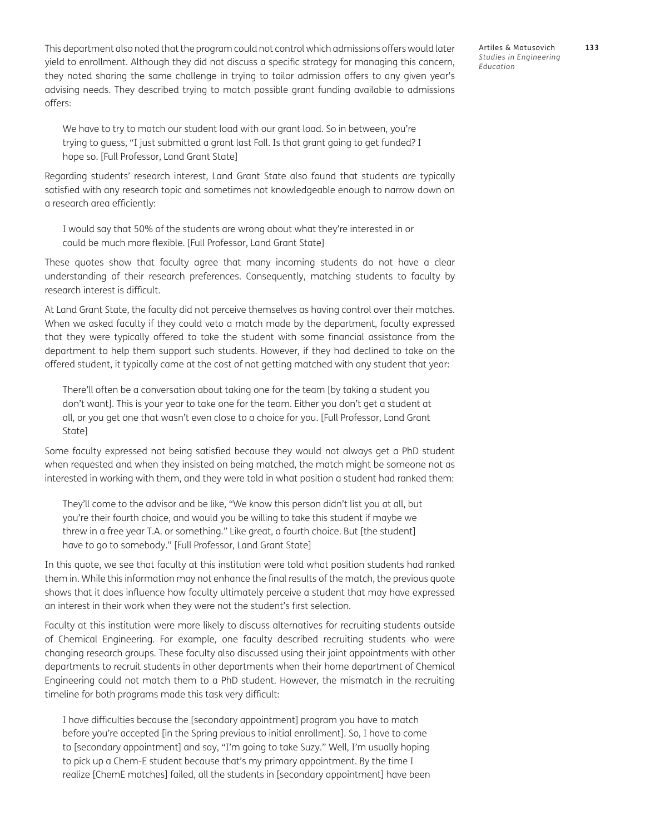This department also noted that the program could not control which admissions offers would later yield to enrollment. Although they did not discuss a specific strategy for managing this concern, they noted sharing the same challenge in trying to tailor admission offers to any given year's advising needs. They described trying to match possible grant funding available to admissions offers:

We have to try to match our student load with our grant load. So in between, you're trying to guess, "I just submitted a grant last Fall. Is that grant going to get funded? I hope so. [Full Professor, Land Grant State]

Regarding students' research interest, Land Grant State also found that students are typically satisfied with any research topic and sometimes not knowledgeable enough to narrow down on a research area efficiently:

I would say that 50% of the students are wrong about what they're interested in or could be much more flexible. [Full Professor, Land Grant State]

These quotes show that faculty agree that many incoming students do not have a clear understanding of their research preferences. Consequently, matching students to faculty by research interest is difficult.

At Land Grant State, the faculty did not perceive themselves as having control over their matches. When we asked faculty if they could veto a match made by the department, faculty expressed that they were typically offered to take the student with some financial assistance from the department to help them support such students. However, if they had declined to take on the offered student, it typically came at the cost of not getting matched with any student that year:

There'll often be a conversation about taking one for the team [by taking a student you don't want]. This is your year to take one for the team. Either you don't get a student at all, or you get one that wasn't even close to a choice for you. [Full Professor, Land Grant State]

Some faculty expressed not being satisfied because they would not always get a PhD student when requested and when they insisted on being matched, the match might be someone not as interested in working with them, and they were told in what position a student had ranked them:

They'll come to the advisor and be like, "We know this person didn't list you at all, but you're their fourth choice, and would you be willing to take this student if maybe we threw in a free year T.A. or something." Like great, a fourth choice. But [the student] have to go to somebody." [Full Professor, Land Grant State]

In this quote, we see that faculty at this institution were told what position students had ranked them in. While this information may not enhance the final results of the match, the previous quote shows that it does influence how faculty ultimately perceive a student that may have expressed an interest in their work when they were not the student's first selection.

Faculty at this institution were more likely to discuss alternatives for recruiting students outside of Chemical Engineering. For example, one faculty described recruiting students who were changing research groups. These faculty also discussed using their joint appointments with other departments to recruit students in other departments when their home department of Chemical Engineering could not match them to a PhD student. However, the mismatch in the recruiting timeline for both programs made this task very difficult:

I have difficulties because the [secondary appointment] program you have to match before you're accepted [in the Spring previous to initial enrollment]. So, I have to come to [secondary appointment] and say, "I'm going to take Suzy." Well, I'm usually hoping to pick up a Chem-E student because that's my primary appointment. By the time I realize [ChemE matches] failed, all the students in [secondary appointment] have been Artiles & Matusovich **133** *Studies in Engineering Education*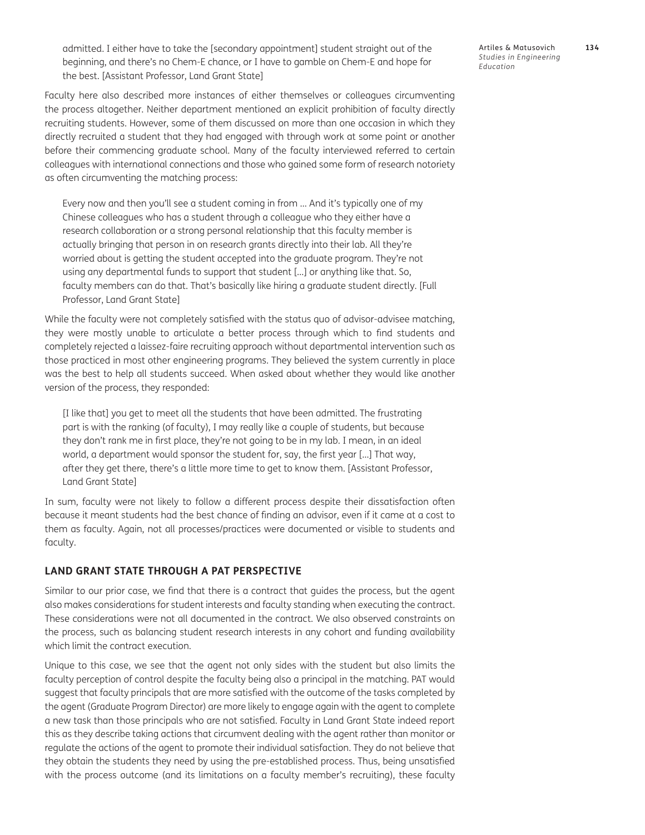admitted. I either have to take the [secondary appointment] student straight out of the beginning, and there's no Chem-E chance, or I have to gamble on Chem-E and hope for the best. [Assistant Professor, Land Grant State]

Faculty here also described more instances of either themselves or colleagues circumventing the process altogether. Neither department mentioned an explicit prohibition of faculty directly recruiting students. However, some of them discussed on more than one occasion in which they directly recruited a student that they had engaged with through work at some point or another before their commencing graduate school. Many of the faculty interviewed referred to certain colleagues with international connections and those who gained some form of research notoriety as often circumventing the matching process:

Every now and then you'll see a student coming in from … And it's typically one of my Chinese colleagues who has a student through a colleague who they either have a research collaboration or a strong personal relationship that this faculty member is actually bringing that person in on research grants directly into their lab. All they're worried about is getting the student accepted into the graduate program. They're not using any departmental funds to support that student […] or anything like that. So, faculty members can do that. That's basically like hiring a graduate student directly. [Full Professor, Land Grant State]

While the faculty were not completely satisfied with the status quo of advisor-advisee matching, they were mostly unable to articulate a better process through which to find students and completely rejected a laissez-faire recruiting approach without departmental intervention such as those practiced in most other engineering programs. They believed the system currently in place was the best to help all students succeed. When asked about whether they would like another version of the process, they responded:

[I like that] you get to meet all the students that have been admitted. The frustrating part is with the ranking (of faculty), I may really like a couple of students, but because they don't rank me in first place, they're not going to be in my lab. I mean, in an ideal world, a department would sponsor the student for, say, the first year […] That way, after they get there, there's a little more time to get to know them. [Assistant Professor, Land Grant State]

In sum, faculty were not likely to follow a different process despite their dissatisfaction often because it meant students had the best chance of finding an advisor, even if it came at a cost to them as faculty. Again, not all processes/practices were documented or visible to students and faculty.

#### **LAND GRANT STATE THROUGH A PAT PERSPECTIVE**

Similar to our prior case, we find that there is a contract that guides the process, but the agent also makes considerations for student interests and faculty standing when executing the contract. These considerations were not all documented in the contract. We also observed constraints on the process, such as balancing student research interests in any cohort and funding availability which limit the contract execution.

Unique to this case, we see that the agent not only sides with the student but also limits the faculty perception of control despite the faculty being also a principal in the matching. PAT would suggest that faculty principals that are more satisfied with the outcome of the tasks completed by the agent (Graduate Program Director) are more likely to engage again with the agent to complete a new task than those principals who are not satisfied. Faculty in Land Grant State indeed report this as they describe taking actions that circumvent dealing with the agent rather than monitor or regulate the actions of the agent to promote their individual satisfaction. They do not believe that they obtain the students they need by using the pre-established process. Thus, being unsatisfied with the process outcome (and its limitations on a faculty member's recruiting), these faculty Artiles & Matusovich **134** *Studies in Engineering Education*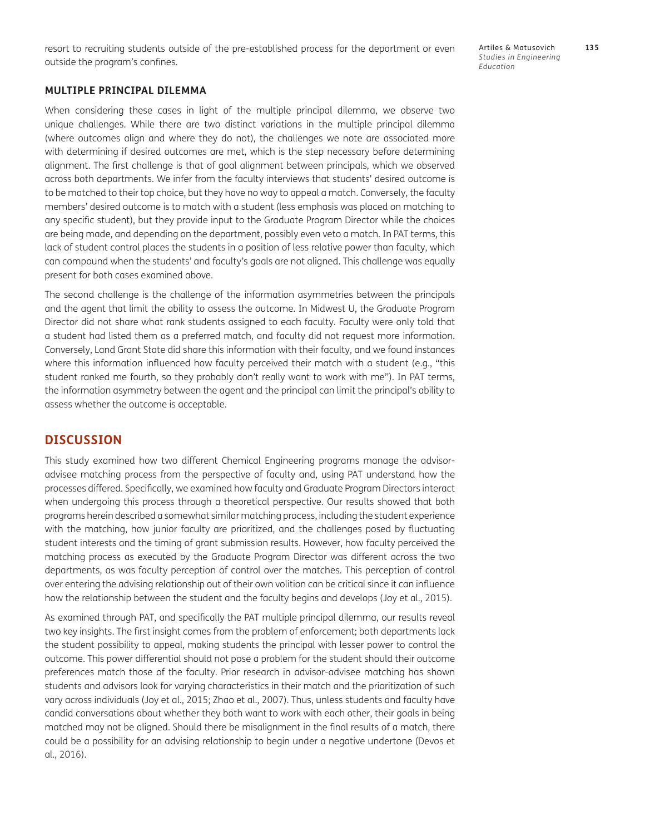resort to recruiting students outside of the pre-established process for the department or even outside the program's confines.

Artiles & Matusovich **135** *Studies in Engineering Education*

#### **MULTIPLE PRINCIPAL DILEMMA**

When considering these cases in light of the multiple principal dilemma, we observe two unique challenges. While there are two distinct variations in the multiple principal dilemma (where outcomes align and where they do not), the challenges we note are associated more with determining if desired outcomes are met, which is the step necessary before determining alignment. The first challenge is that of goal alignment between principals, which we observed across both departments. We infer from the faculty interviews that students' desired outcome is to be matched to their top choice, but they have no way to appeal a match. Conversely, the faculty members' desired outcome is to match with a student (less emphasis was placed on matching to any specific student), but they provide input to the Graduate Program Director while the choices are being made, and depending on the department, possibly even veto a match. In PAT terms, this lack of student control places the students in a position of less relative power than faculty, which can compound when the students' and faculty's goals are not aligned. This challenge was equally present for both cases examined above.

The second challenge is the challenge of the information asymmetries between the principals and the agent that limit the ability to assess the outcome. In Midwest U, the Graduate Program Director did not share what rank students assigned to each faculty. Faculty were only told that a student had listed them as a preferred match, and faculty did not request more information. Conversely, Land Grant State did share this information with their faculty, and we found instances where this information influenced how faculty perceived their match with a student (e.g., "this student ranked me fourth, so they probably don't really want to work with me"). In PAT terms, the information asymmetry between the agent and the principal can limit the principal's ability to assess whether the outcome is acceptable.

### **DISCUSSION**

This study examined how two different Chemical Engineering programs manage the advisoradvisee matching process from the perspective of faculty and, using PAT understand how the processes differed. Specifically, we examined how faculty and Graduate Program Directors interact when undergoing this process through a theoretical perspective. Our results showed that both programs herein described a somewhat similar matching process, including the student experience with the matching, how junior faculty are prioritized, and the challenges posed by fluctuating student interests and the timing of grant submission results. However, how faculty perceived the matching process as executed by the Graduate Program Director was different across the two departments, as was faculty perception of control over the matches. This perception of control over entering the advising relationship out of their own volition can be critical since it can influence how the relationship between the student and the faculty begins and develops ([Joy et al., 2015](#page-18-0)).

As examined through PAT, and specifically the PAT multiple principal dilemma, our results reveal two key insights. The first insight comes from the problem of enforcement; both departments lack the student possibility to appeal, making students the principal with lesser power to control the outcome. This power differential should not pose a problem for the student should their outcome preferences match those of the faculty. Prior research in advisor-advisee matching has shown students and advisors look for varying characteristics in their match and the prioritization of such vary across individuals [\(Joy et al., 2015;](#page-18-0) [Zhao et al., 2007](#page-20-0)). Thus, unless students and faculty have candid conversations about whether they both want to work with each other, their goals in being matched may not be aligned. Should there be misalignment in the final results of a match, there could be a possibility for an advising relationship to begin under a negative undertone [\(Devos et](#page-18-0) [al., 2016](#page-18-0)).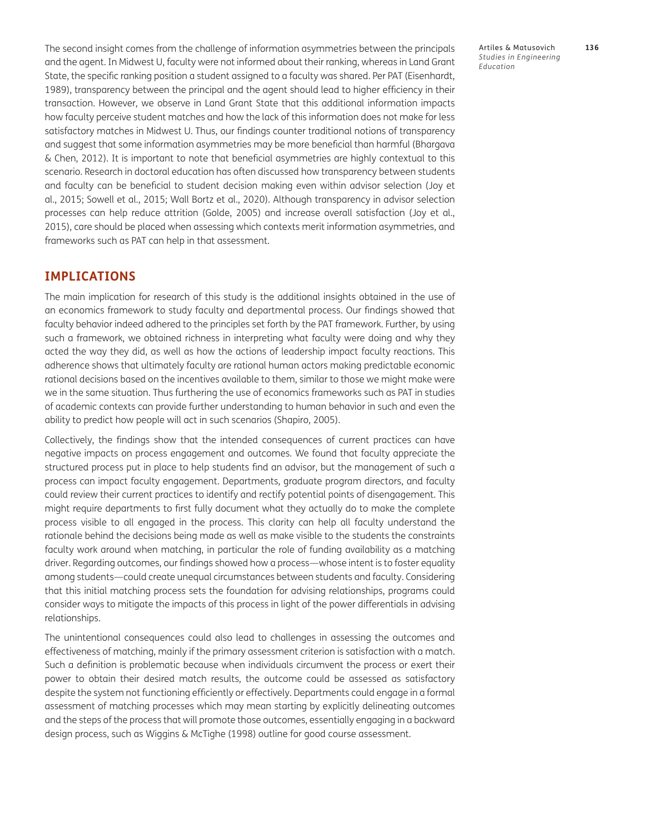The second insight comes from the challenge of information asymmetries between the principals and the agent. In Midwest U, faculty were not informed about their ranking, whereas in Land Grant State, the specific ranking position a student assigned to a faculty was shared. Per PAT [\(Eisenhardt,](#page-18-0) [1989](#page-18-0)), transparency between the principal and the agent should lead to higher efficiency in their transaction. However, we observe in Land Grant State that this additional information impacts how faculty perceive student matches and how the lack of this information does not make for less satisfactory matches in Midwest U. Thus, our findings counter traditional notions of transparency and suggest that some information asymmetries may be more beneficial than harmful [\(Bhargava](#page-17-1) [& Chen, 2012\)](#page-17-1). It is important to note that beneficial asymmetries are highly contextual to this scenario. Research in doctoral education has often discussed how transparency between students and faculty can be beneficial to student decision making even within advisor selection [\(Joy et](#page-18-0) [al., 2015;](#page-18-0) [Sowell et al., 2015;](#page-19-0) [Wall Bortz et al., 2020](#page-20-0)). Although transparency in advisor selection processes can help reduce attrition [\(Golde, 2005\)](#page-18-0) and increase overall satisfaction [\(Joy et al.,](#page-18-0) [2015](#page-18-0)), care should be placed when assessing which contexts merit information asymmetries, and frameworks such as PAT can help in that assessment.

### **IMPLICATIONS**

The main implication for research of this study is the additional insights obtained in the use of an economics framework to study faculty and departmental process. Our findings showed that faculty behavior indeed adhered to the principles set forth by the PAT framework. Further, by using such a framework, we obtained richness in interpreting what faculty were doing and why they acted the way they did, as well as how the actions of leadership impact faculty reactions. This adherence shows that ultimately faculty are rational human actors making predictable economic rational decisions based on the incentives available to them, similar to those we might make were we in the same situation. Thus furthering the use of economics frameworks such as PAT in studies of academic contexts can provide further understanding to human behavior in such and even the ability to predict how people will act in such scenarios [\(Shapiro, 2005](#page-19-0)).

Collectively, the findings show that the intended consequences of current practices can have negative impacts on process engagement and outcomes. We found that faculty appreciate the structured process put in place to help students find an advisor, but the management of such a process can impact faculty engagement. Departments, graduate program directors, and faculty could review their current practices to identify and rectify potential points of disengagement. This might require departments to first fully document what they actually do to make the complete process visible to all engaged in the process. This clarity can help all faculty understand the rationale behind the decisions being made as well as make visible to the students the constraints faculty work around when matching, in particular the role of funding availability as a matching driver. Regarding outcomes, our findings showed how a process—whose intent is to foster equality among students—could create unequal circumstances between students and faculty. Considering that this initial matching process sets the foundation for advising relationships, programs could consider ways to mitigate the impacts of this process in light of the power differentials in advising relationships.

The unintentional consequences could also lead to challenges in assessing the outcomes and effectiveness of matching, mainly if the primary assessment criterion is satisfaction with a match. Such a definition is problematic because when individuals circumvent the process or exert their power to obtain their desired match results, the outcome could be assessed as satisfactory despite the system not functioning efficiently or effectively. Departments could engage in a formal assessment of matching processes which may mean starting by explicitly delineating outcomes and the steps of the process that will promote those outcomes, essentially engaging in a backward design process, such as Wiggins & McTighe ([1998](#page-20-0)) outline for good course assessment.

Artiles & Matusovich **136** *Studies in Engineering Education*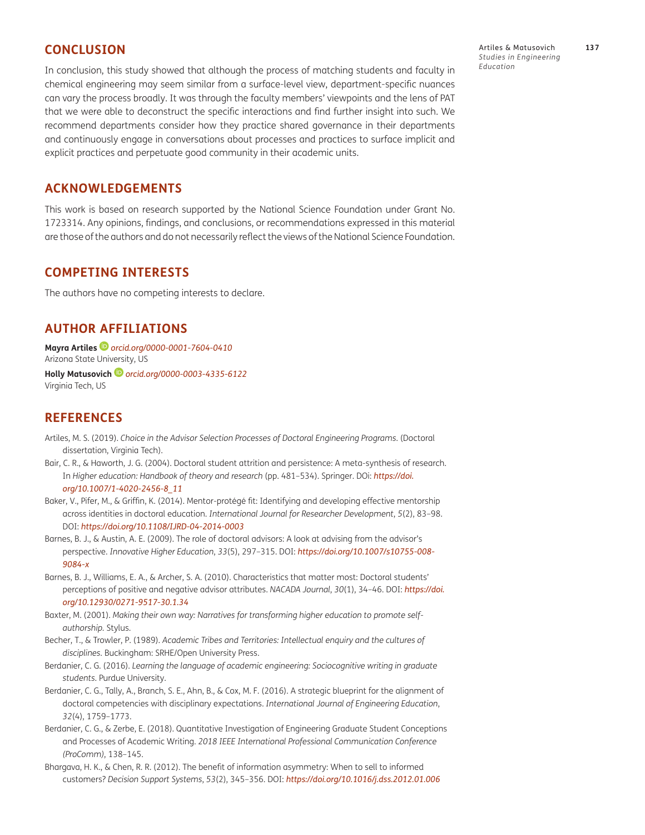## <span id="page-17-1"></span>**CONCLUSION**

In conclusion, this study showed that although the process of matching students and faculty in chemical engineering may seem similar from a surface-level view, department-specific nuances can vary the process broadly. It was through the faculty members' viewpoints and the lens of PAT that we were able to deconstruct the specific interactions and find further insight into such. We recommend departments consider how they practice shared governance in their departments and continuously engage in conversations about processes and practices to surface implicit and explicit practices and perpetuate good community in their academic units.

## **ACKNOWLEDGEMENTS**

This work is based on research supported by the National Science Foundation under Grant No. 1723314. Any opinions, findings, and conclusions, or recommendations expressed in this material are those of the authors and do not necessarily reflect the views of the National Science Foundation.

### **COMPETING INTERESTS**

The authors have no competing interests to declare.

## <span id="page-17-0"></span>**AUTHOR AFFILIATIONS**

**Mayra Artiles** *[orcid.org/0000-0001-7604-0410](https://orcid.org/0000-0001-7604-0410)* Arizona State University, US

**Holly Matusovich** *[orcid.org/0000-0003-4335-6122](https://orcid.org/0000-0003-4335-6122)* Virginia Tech, US

## **REFERENCES**

- Artiles, M. S. (2019). *Choice in the Advisor Selection Processes of Doctoral Engineering Programs*. (Doctoral dissertation, Virginia Tech).
- Bair, C. R., & Haworth, J. G. (2004). Doctoral student attrition and persistence: A meta-synthesis of research. In *Higher education: Handbook of theory and research* (pp. 481–534). Springer. DOi: *https://doi. org/10.1007/1-4020-2456-8\_11*
- Baker, V., Pifer, M., & Griffin, K. (2014). Mentor-protégé fit: Identifying and developing effective mentorship across identities in doctoral education. *International Journal for Researcher Development*, *5*(2), 83–98. DOI: *https://doi.org/10.1108/IJRD-04-2014-0003*
- Barnes, B. J., & Austin, A. E. (2009). The role of doctoral advisors: A look at advising from the advisor's perspective. *Innovative Higher Education*, *33*(5), 297–315. DOI: *https://doi.org/10.1007/s10755-008- 9084-x*
- Barnes, B. J., Williams, E. A., & Archer, S. A. (2010). Characteristics that matter most: Doctoral students' perceptions of positive and negative advisor attributes. *NACADA Journal*, *30*(1), 34–46. DOI: *https://doi. org/10.12930/0271-9517-30.1.34*
- Baxter, M. (2001). *Making their own way: Narratives for transforming higher education to promote selfauthorship.* Stylus.
- Becher, T., & Trowler, P. (1989). *Academic Tribes and Territories: Intellectual enquiry and the cultures of disciplines.* Buckingham: SRHE/Open University Press.
- Berdanier, C. G. (2016). *Learning the language of academic engineering: Sociocognitive writing in graduate students*. Purdue University.
- Berdanier, C. G., Tally, A., Branch, S. E., Ahn, B., & Cox, M. F. (2016). A strategic blueprint for the alignment of doctoral competencies with disciplinary expectations. *International Journal of Engineering Education*, *32*(4), 1759–1773.
- Berdanier, C. G., & Zerbe, E. (2018). Quantitative Investigation of Engineering Graduate Student Conceptions and Processes of Academic Writing. *2018 IEEE International Professional Communication Conference (ProComm)*, 138–145.
- Bhargava, H. K., & Chen, R. R. (2012). The benefit of information asymmetry: When to sell to informed customers? *Decision Support Systems*, *53*(2), 345–356. DOI: *https://doi.org/10.1016/j.dss.2012.01.006*

Artiles & Matusovich **137** *Studies in Engineering Education*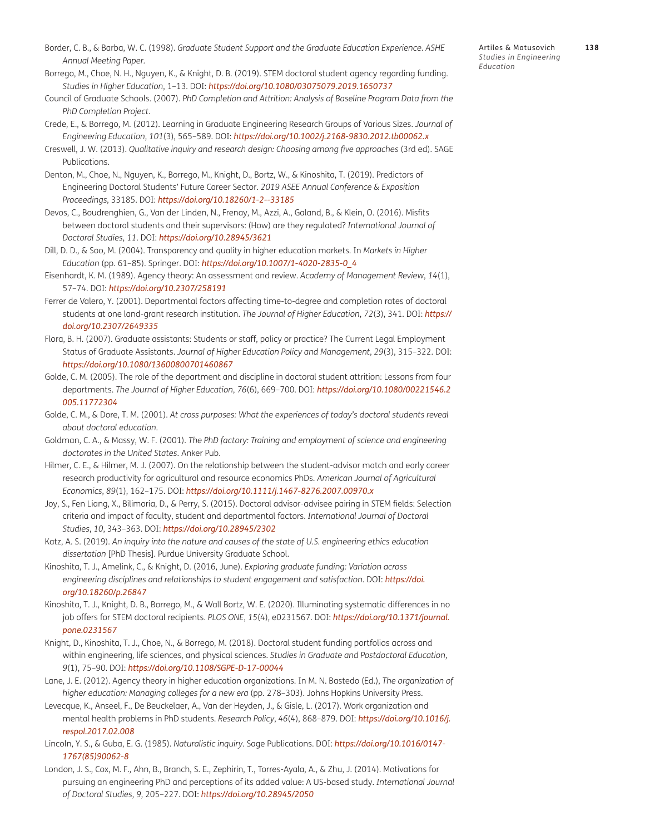<span id="page-18-0"></span>Borrego, M., Choe, N. H., Nguyen, K., & Knight, D. B. (2019). STEM doctoral student agency regarding funding. *Studies in Higher Education*, 1–13. DOI: *https://doi.org/10.1080/03075079.2019.1650737*

- Council of Graduate Schools. (2007). *PhD Completion and Attrition: Analysis of Baseline Program Data from the PhD Completion Project.*
- Crede, E., & Borrego, M. (2012). Learning in Graduate Engineering Research Groups of Various Sizes. *Journal of Engineering Education*, *101*(3), 565–589. DOI: *https://doi.org/10.1002/j.2168-9830.2012.tb00062.x*
- Creswell, J. W. (2013). *Qualitative inquiry and research design: Choosing among five approaches* (3rd ed). SAGE Publications.
- Denton, M., Choe, N., Nguyen, K., Borrego, M., Knight, D., Bortz, W., & Kinoshita, T. (2019). Predictors of Engineering Doctoral Students' Future Career Sector. *2019 ASEE Annual Conference & Exposition Proceedings*, 33185. DOI: *https://doi.org/10.18260/1-2--33185*
- Devos, C., Boudrenghien, G., Van der Linden, N., Frenay, M., Azzi, A., Galand, B., & Klein, O. (2016). Misfits between doctoral students and their supervisors: (How) are they regulated? *International Journal of Doctoral Studies*, *11*. DOI: *https://doi.org/10.28945/3621*
- Dill, D. D., & Soo, M. (2004). Transparency and quality in higher education markets. In *Markets in Higher Education* (pp. 61–85). Springer. DOI: *https://doi.org/10.1007/1-4020-2835-0\_4*
- Eisenhardt, K. M. (1989). Agency theory: An assessment and review. *Academy of Management Review*, *14*(1), 57–74. DOI: *https://doi.org/10.2307/258191*
- Ferrer de Valero, Y. (2001). Departmental factors affecting time-to-degree and completion rates of doctoral students at one land-grant research institution. *The Journal of Higher Education*, *72*(3), 341. DOI: *https:// doi.org/10.2307/2649335*
- Flora, B. H. (2007). Graduate assistants: Students or staff, policy or practice? The Current Legal Employment Status of Graduate Assistants. *Journal of Higher Education Policy and Management*, *29*(3), 315–322. DOI: *https://doi.org/10.1080/13600800701460867*
- Golde, C. M. (2005). The role of the department and discipline in doctoral student attrition: Lessons from four departments. *The Journal of Higher Education*, *76*(6), 669–700. DOI: *https://doi.org/10.1080/00221546.2 005.11772304*
- Golde, C. M., & Dore, T. M. (2001). *At cross purposes: What the experiences of today's doctoral students reveal about doctoral education.*
- Goldman, C. A., & Massy, W. F. (2001). *The PhD factory: Training and employment of science and engineering doctorates in the United States*. Anker Pub.
- Hilmer, C. E., & Hilmer, M. J. (2007). On the relationship between the student-advisor match and early career research productivity for agricultural and resource economics PhDs. *American Journal of Agricultural Economics*, *89*(1), 162–175. DOI: *https://doi.org/10.1111/j.1467-8276.2007.00970.x*
- Joy, S., Fen Liang, X., Bilimoria, D., & Perry, S. (2015). Doctoral advisor-advisee pairing in STEM fields: Selection criteria and impact of faculty, student and departmental factors. *International Journal of Doctoral Studies*, *10*, 343–363. DOI: *https://doi.org/10.28945/2302*
- Katz, A. S. (2019). *An inquiry into the nature and causes of the state of U.S. engineering ethics education dissertation* [PhD Thesis]. Purdue University Graduate School.
- Kinoshita, T. J., Amelink, C., & Knight, D. (2016, June). *Exploring graduate funding: Variation across engineering disciplines and relationships to student engagement and satisfaction*. DOI: *https://doi. org/10.18260/p.26847*
- Kinoshita, T. J., Knight, D. B., Borrego, M., & Wall Bortz, W. E. (2020). Illuminating systematic differences in no job offers for STEM doctoral recipients. *PLOS ONE*, *15*(4), e0231567. DOI: *https://doi.org/10.1371/journal. pone.0231567*
- Knight, D., Kinoshita, T. J., Choe, N., & Borrego, M. (2018). Doctoral student funding portfolios across and within engineering, life sciences, and physical sciences. *Studies in Graduate and Postdoctoral Education*, *9*(1), 75–90. DOI: *https://doi.org/10.1108/SGPE-D-17-00044*
- Lane, J. E. (2012). Agency theory in higher education organizations. In M. N. Bastedo (Ed.), *The organization of higher education: Managing colleges for a new era* (pp. 278–303). Johns Hopkins University Press.
- Levecque, K., Anseel, F., De Beuckelaer, A., Van der Heyden, J., & Gisle, L. (2017). Work organization and mental health problems in PhD students. *Research Policy*, *46*(4), 868–879. DOI: *https://doi.org/10.1016/j. respol.2017.02.008*
- Lincoln, Y. S., & Guba, E. G. (1985). *Naturalistic inquiry*. Sage Publications. DOI: *https://doi.org/10.1016/0147- 1767(85)90062-8*
- London, J. S., Cox, M. F., Ahn, B., Branch, S. E., Zephirin, T., Torres-Ayala, A., & Zhu, J. (2014). Motivations for pursuing an engineering PhD and perceptions of its added value: A US-based study. *International Journal of Doctoral Studies*, *9*, 205–227. DOI: *https://doi.org/10.28945/2050*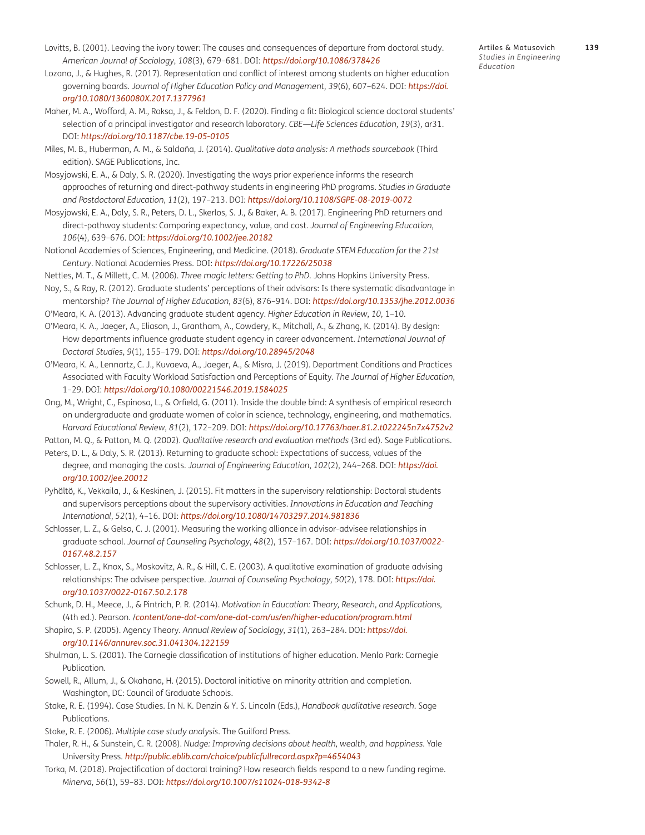- <span id="page-19-0"></span>Lovitts, B. (2001). Leaving the ivory tower: The causes and consequences of departure from doctoral study. *American Journal of Sociology*, *108*(3), 679–681. DOI: *https://doi.org/10.1086/378426*
- Lozano, J., & Hughes, R. (2017). Representation and conflict of interest among students on higher education governing boards. *Journal of Higher Education Policy and Management*, *39*(6), 607–624. DOI: *https://doi. org/10.1080/1360080X.2017.1377961*
- Maher, M. A., Wofford, A. M., Roksa, J., & Feldon, D. F. (2020). Finding a fit: Biological science doctoral students' selection of a principal investigator and research laboratory. *CBE—Life Sciences Education*, *19*(3), ar31. DOI: *https://doi.org/10.1187/cbe.19-05-0105*
- Miles, M. B., Huberman, A. M., & Saldaña, J. (2014). *Qualitative data analysis: A methods sourcebook* (Third edition). SAGE Publications, Inc.
- Mosyjowski, E. A., & Daly, S. R. (2020). Investigating the ways prior experience informs the research approaches of returning and direct-pathway students in engineering PhD programs. *Studies in Graduate and Postdoctoral Education*, *11*(2), 197–213. DOI: *https://doi.org/10.1108/SGPE-08-2019-0072*
- Mosyjowski, E. A., Daly, S. R., Peters, D. L., Skerlos, S. J., & Baker, A. B. (2017). Engineering PhD returners and direct-pathway students: Comparing expectancy, value, and cost. *Journal of Engineering Education*, *106*(4), 639–676. DOI: *https://doi.org/10.1002/jee.20182*
- National Academies of Sciences, Engineering, and Medicine. (2018). *Graduate STEM Education for the 21st Century*. National Academies Press. DOI: *https://doi.org/10.17226/25038*
- Nettles, M. T., & Millett, C. M. (2006). *Three magic letters: Getting to PhD.* Johns Hopkins University Press.
- Noy, S., & Ray, R. (2012). Graduate students' perceptions of their advisors: Is there systematic disadvantage in mentorship? *The Journal of Higher Education*, *83*(6), 876–914. DOI: *https://doi.org/10.1353/jhe.2012.0036*
- O'Meara, K. A. (2013). Advancing graduate student agency. *Higher Education in Review*, *10*, 1–10.
- O'Meara, K. A., Jaeger, A., Eliason, J., Grantham, A., Cowdery, K., Mitchall, A., & Zhang, K. (2014). By design: How departments influence graduate student agency in career advancement. *International Journal of Doctoral Studies*, *9*(1), 155–179. DOI: *https://doi.org/10.28945/2048*
- O'Meara, K. A., Lennartz, C. J., Kuvaeva, A., Jaeger, A., & Misra, J. (2019). Department Conditions and Practices Associated with Faculty Workload Satisfaction and Perceptions of Equity. *The Journal of Higher Education*, 1–29. DOI: *https://doi.org/10.1080/00221546.2019.1584025*
- Ong, M., Wright, C., Espinosa, L., & Orfield, G. (2011). Inside the double bind: A synthesis of empirical research on undergraduate and graduate women of color in science, technology, engineering, and mathematics. *Harvard Educational Review*, *81*(2), 172–209. DOI: *https://doi.org/10.17763/haer.81.2.t022245n7x4752v2*
- Patton, M. Q., & Patton, M. Q. (2002). *Qualitative research and evaluation methods* (3rd ed). Sage Publications.
- Peters, D. L., & Daly, S. R. (2013). Returning to graduate school: Expectations of success, values of the degree, and managing the costs. *Journal of Engineering Education*, *102*(2), 244–268. DOI: *https://doi. org/10.1002/jee.20012*
- Pyhältö, K., Vekkaila, J., & Keskinen, J. (2015). Fit matters in the supervisory relationship: Doctoral students and supervisors perceptions about the supervisory activities. *Innovations in Education and Teaching International*, *52*(1), 4–16. DOI: *https://doi.org/10.1080/14703297.2014.981836*
- Schlosser, L. Z., & Gelso, C. J. (2001). Measuring the working alliance in advisor-advisee relationships in graduate school. *Journal of Counseling Psychology*, *48*(2), 157–167. DOI: *https://doi.org/10.1037/0022- 0167.48.2.157*
- Schlosser, L. Z., Knox, S., Moskovitz, A. R., & Hill, C. E. (2003). A qualitative examination of graduate advising relationships: The advisee perspective. *Journal of Counseling Psychology*, *50*(2), 178. DOI: *[https://doi.](https://doi.org/10.1037/0022-0167.50.2.178
) [org/10.1037/0022-0167.50.2.178](https://doi.org/10.1037/0022-0167.50.2.178
)*
- Schunk, D. H., Meece, J., & Pintrich, P. R. (2014). *Motivation in Education: Theory, Research, and Applications,*  (4th ed.). Pearson. /*content/one-dot-com/one-dot-com/us/en/higher-education/program.html*
- Shapiro, S. P. (2005). Agency Theory. *Annual Review of Sociology*, *31*(1), 263–284. DOI: *https://doi. org/10.1146/annurev.soc.31.041304.122159*
- Shulman, L. S. (2001). The Carnegie classification of institutions of higher education. Menlo Park: Carnegie Publication.
- Sowell, R., Allum, J., & Okahana, H. (2015). Doctoral initiative on minority attrition and completion. Washington, DC: Council of Graduate Schools.
- Stake, R. E. (1994). Case Studies. In N. K. Denzin & Y. S. Lincoln (Eds.), *Handbook qualitative research*. Sage Publications.
- Stake, R. E. (2006). *Multiple case study analysis*. The Guilford Press.
- Thaler, R. H., & Sunstein, C. R. (2008). *Nudge: Improving decisions about health, wealth, and happiness*. Yale University Press. *http://public.eblib.com/choice/publicfullrecord.aspx?p=4654043*
- Torka, M. (2018). Projectification of doctoral training? How research fields respond to a new funding regime. *Minerva*, *56*(1), 59–83. DOI: *https://doi.org/10.1007/s11024-018-9342-8*